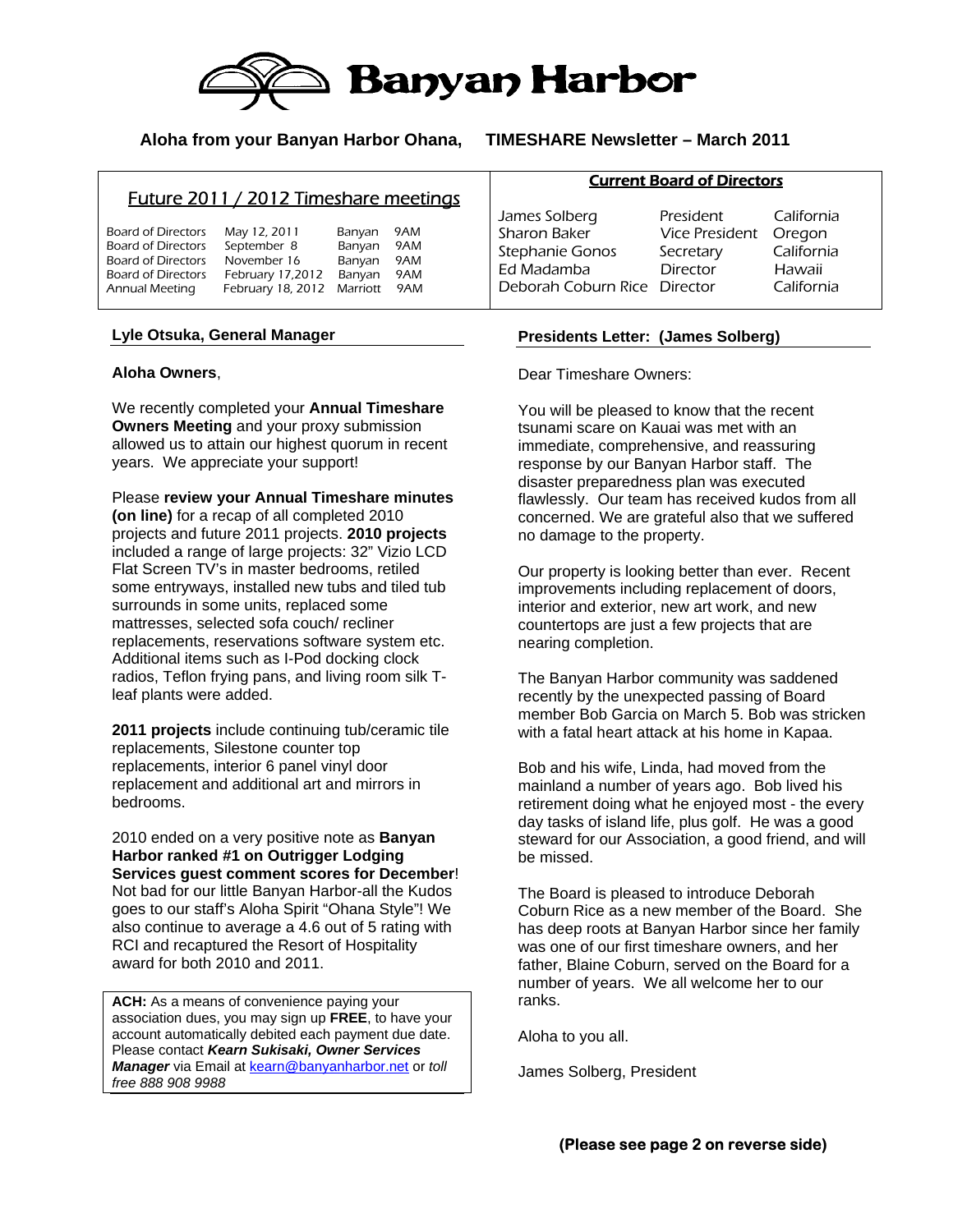

## **Aloha from your Banyan Harbor Ohana, TIMESHARE Newsletter – March 2011**

# Future 2011 / 2012 Timeshare meetings

| <b>Board of Directors</b> | May 12, 2011      | Banyan   | 9AM |
|---------------------------|-------------------|----------|-----|
|                           |                   |          |     |
| Board of Directors        | September 8       | Banyan   | 9AM |
| Board of Directors        | November 16       | Banyan   | 9AM |
| <b>Board of Directors</b> | February 17,2012  | Banyan   | 9AM |
| Annual Meeting            | February 18, 2012 | Marriott | 9AM |
|                           |                   |          |     |

### **Lyle Otsuka, General Manager**

### **Aloha Owners**,

We recently completed your **Annual Timeshare Owners Meeting** and your proxy submission allowed us to attain our highest quorum in recent years. We appreciate your support!

Please **review your Annual Timeshare minutes (on line)** for a recap of all completed 2010 projects and future 2011 projects. **2010 projects** included a range of large projects: 32" Vizio LCD Flat Screen TV's in master bedrooms, retiled some entryways, installed new tubs and tiled tub surrounds in some units, replaced some mattresses, selected sofa couch/ recliner replacements, reservations software system etc. Additional items such as I-Pod docking clock radios, Teflon frying pans, and living room silk Tleaf plants were added.

**2011 projects** include continuing tub/ceramic tile replacements, Silestone counter top replacements, interior 6 panel vinyl door replacement and additional art and mirrors in bedrooms.

2010 ended on a very positive note as **Banyan Harbor ranked #1 on Outrigger Lodging Services guest comment scores for December**! Not bad for our little Banyan Harbor-all the Kudos goes to our staff's Aloha Spirit "Ohana Style"! We also continue to average a 4.6 out of 5 rating with RCI and recaptured the Resort of Hospitality award for both 2010 and 2011.

**ACH:** As a means of convenience paying your association dues, you may sign up **FREE**, to have your account automatically debited each payment due date. Please contact *Kearn Sukisaki, Owner Services Manager* via Email at kearn@banyanharbor.net or *toll free 888 908 9988*

#### Current Board of Directors

James Solberg President California Sharon Baker Vice President Oregon Stephanie Gonos Secretary California Ed Madamba Director Hawaii Deborah Coburn Rice Director California

## **Presidents Letter: (James Solberg)**

Dear Timeshare Owners:

You will be pleased to know that the recent tsunami scare on Kauai was met with an immediate, comprehensive, and reassuring response by our Banyan Harbor staff. The disaster preparedness plan was executed flawlessly. Our team has received kudos from all concerned. We are grateful also that we suffered no damage to the property.

Our property is looking better than ever. Recent improvements including replacement of doors, interior and exterior, new art work, and new countertops are just a few projects that are nearing completion.

The Banyan Harbor community was saddened recently by the unexpected passing of Board member Bob Garcia on March 5. Bob was stricken with a fatal heart attack at his home in Kapaa.

Bob and his wife, Linda, had moved from the mainland a number of years ago. Bob lived his retirement doing what he enjoyed most - the every day tasks of island life, plus golf. He was a good steward for our Association, a good friend, and will be missed.

The Board is pleased to introduce Deborah Coburn Rice as a new member of the Board. She has deep roots at Banyan Harbor since her family was one of our first timeshare owners, and her father, Blaine Coburn, served on the Board for a number of years. We all welcome her to our ranks.

Aloha to you all.

James Solberg, President